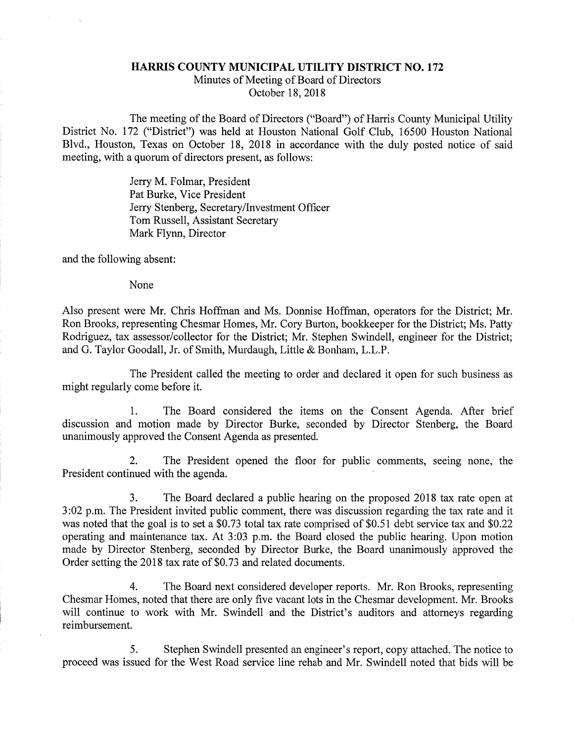## HARRIS COUNTY MUNICIPAL UTILITY DISTRICT NO. 172 Minutes of Meeting of Board of Directors October 18, 2018

The meeting of the Board of Directors ("Board") of Harris County Municipal Utility District No. 172 ("District") was held at Houston National Golf Club, 16500 Houston National Blvd., Houston, Texas on October 18, 2018 in accordance with the duly posted notice of said meeting, with a quorum of directors present, as follows:

> Jerry M. Folmar, President Pat Burke, Vice President Jerry Stenberg, Secretary/Investment Officer Tom Russell, Assistant Secretary Mark Flynn, Director

and the following absent:

None

Also present were Mr. Chris Hoffman and Ms. Donnise Hoffman, operators for the District; Mr. Ron Brooks, representing Chesmar Homes, Mr. Cory Burton, bookkeeper for the District; Ms. Patty Rodriguez, tax assessor/collector for the District; Mr. Stephen Swindell, engineer for the District; and G. Taylor Goodall, Jr. of Smith, Murdaugh, Little & Bonham, L.L.P.

The President called the meeting to order and declared it open for such business as might regularly come before it.

1. The Board considered the items on the Consent Agenda. After brief discussion and motion made by Director Burke, seconded by Director Stenberg, the Board unanimously approved the Consent Agenda as presented.

2. The President opened the floor for public comments, seeing none, the President continued with the agenda.

3. The Board declared a public hearing on the proposed 2018 tax rate open at 3:02 p.m. The President invited public comment, there was discussion regarding the tax rate and it was noted that the goal is to set a \$0.73 total tax rate comprised of \$0.51 debt service tax and \$0.22 operating and maintenance tax. At 3:03 p.m. the Board closed the public hearing. Upon motion made by Director Stenberg, seconded by Director Burke, the Board unanimously approved the Order setting the 2018 tax rate of \$0.73 and related documents.

4. The Board next considered developer reports. Mr. Ron Brooks, representing Chesmar Homes, noted that there are only five vacant lots in the Chesmar development. Mr. Brooks will continue to work with Mr. Swindell and the District's auditors and attorneys regarding reimbursement.

5. Stephen Swindell presented an engineer's report, copy attached. The notice to proceed was issued for the West Road service line rehab and Mr. Swindell noted that bids will be